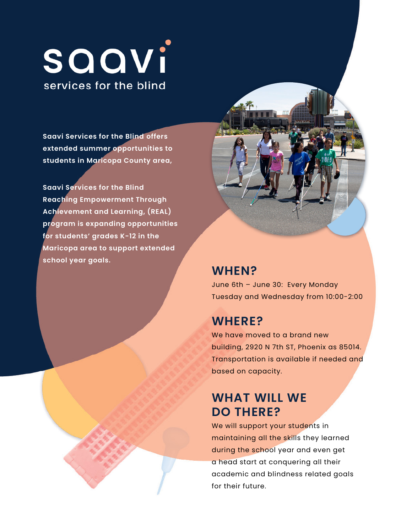# SOOVi services for the blind

**Saavi Services for the Blind offers extended summer opportunities to students in Maricopa County area,** 

school year goals. **Saavi Services for the Blind Reaching Empowerment Through Achievement and Learning, (REAL) program is expanding opportunities for students' grades K-12 in the Maricopa area to support extended school year goals. WHEN?** 

June 6th – June 30: Every Monday Tuesday and Wednesday from 10:00-2:00

### **WHERE?**

 building, 2920 N 7th ST, Phoenix as 85014. We have moved to a brand new Transportation is available if needed and based on capacity.

## **WHAT WILL WE DO THERE?**

We will support your students in maintaining all the skills they learned during the school year and even get a head start at conquering all their academic and blindness related goals for their future.